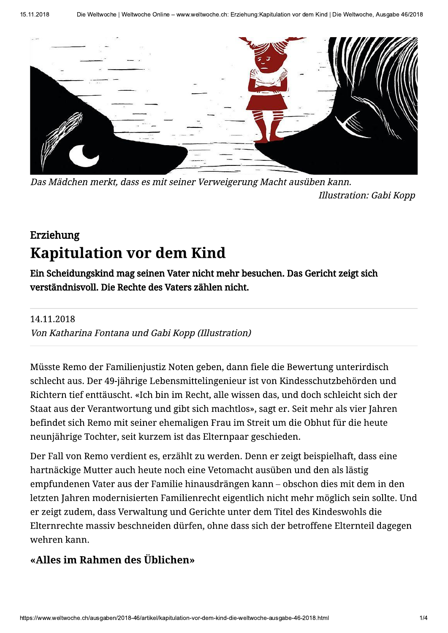

Das Mädchen merkt, dass es mit seiner Verweigerung Macht ausüben kann. Illustration: Gabi Kopp

# Erziehung **Kapitulation vor dem Kind**

Ein Scheidungskind mag seinen Vater nicht mehr besuchen. Das Gericht zeigt sich verständnisvoll. Die Rechte des Vaters zählen nicht.

#### 14.11.2018

Von Katharina Fontana und Gabi Kopp (Illustration)

Müsste Remo der Familienjustiz Noten geben, dann fiele die Bewertung unterirdisch schlecht aus. Der 49-jährige Lebensmittelingenieur ist von Kindesschutzbehörden und Richtern tief enttäuscht. «Ich bin im Recht, alle wissen das, und doch schleicht sich der Staat aus der Verantwortung und gibt sich machtlos», sagt er. Seit mehr als vier Jahren befindet sich Remo mit seiner ehemaligen Frau im Streit um die Obhut für die heute neunjährige Tochter, seit kurzem ist das Elternpaar geschieden.

Der Fall von Remo verdient es, erzählt zu werden. Denn er zeigt beispielhaft, dass eine hartnäckige Mutter auch heute noch eine Vetomacht ausüben und den als lästig empfundenen Vater aus der Familie hinausdrängen kann – obschon dies mit dem in den letzten Jahren modernisierten Familienrecht eigentlich nicht mehr möglich sein sollte. Und er zeigt zudem, dass Verwaltung und Gerichte unter dem Titel des Kindeswohls die Elternrechte massiv beschneiden dürfen, ohne dass sich der betroffene Elternteil dagegen wehren kann.

## «Alles im Rahmen des Üblichen»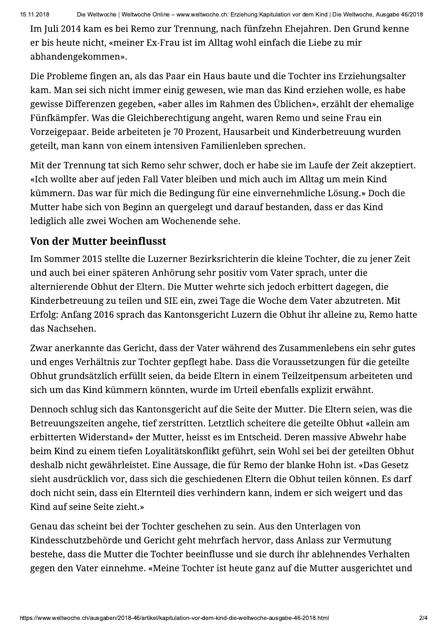Im Juli 2014 kam es bei Remo zur Trennung, nach fünfzehn Ehejahren. Den Grund kenne er bis heute nicht, «meiner Ex-Frau ist im Alltag wohl einfach die Liebe zu mir abhandengekommen».

Die Probleme fingen an, als das Paar ein Haus baute und die Tochter ins Erziehungsalter kam. Man sei sich nicht immer einig gewesen, wie man das Kind erziehen wolle, es habe gewisse Differenzen gegeben, «aber alles im Rahmen des Üblichen», erzählt der ehemalige Fünfkämpfer. Was die Gleichberechtigung angeht, waren Remo und seine Frau ein Vorzeigepaar. Beide arbeiteten je 70 Prozent, Hausarbeit und Kinderbetreuung wurden geteilt, man kann von einem intensiven Familienleben sprechen.

Mit der Trennung tat sich Remo sehr schwer, doch er habe sie im Laufe der Zeit akzeptiert. «Ich wollte aber auf jeden Fall Vater bleiben und mich auch im Alltag um mein Kind kümmern. Das war für mich die Bedingung für eine einvernehmliche Lösung.» Doch die Mutter habe sich von Beginn an quergelegt und darauf bestanden, dass er das Kind lediglich alle zwei Wochen am Wochenende sehe.

#### **Von der Mutter beeinflusst**

Im Sommer 2015 stellte die Luzerner Bezirksrichterin die kleine Tochter, die zu jener Zeit und auch bei einer späteren Anhörung sehr positiv vom Vater sprach, unter die alternierende Obhut der Eltern. Die Mutter wehrte sich jedoch erbittert dagegen, die Kinderbetreuung zu teilen und SIE ein, zwei Tage die Woche dem Vater abzutreten. Mit Erfolg: Anfang 2016 sprach das Kantonsgericht Luzern die Obhut ihr alleine zu, Remo hatte das Nachsehen.

Zwar anerkannte das Gericht, dass der Vater während des Zusammenlebens ein sehr gutes und enges Verhältnis zur Tochter gepflegt habe. Dass die Voraussetzungen für die geteilte Obhut grundsätzlich erfüllt seien, da beide Eltern in einem Teilzeitpensum arbeiteten und sich um das Kind kümmern könnten, wurde im Urteil ebenfalls explizit erwähnt.

Dennoch schlug sich das Kantonsgericht auf die Seite der Mutter. Die Eltern seien, was die Betreuungszeiten angehe, tief zerstritten. Letztlich scheitere die geteilte Obhut «allein am erbitterten Widerstand» der Mutter, heisst es im Entscheid. Deren massive Abwehr habe beim Kind zu einem tiefen Loyalitätskonflikt geführt, sein Wohl sei bei der geteilten Obhut deshalb nicht gewährleistet. Eine Aussage, die für Remo der blanke Hohn ist. «Das Gesetz sieht ausdrücklich vor, dass sich die geschiedenen Eltern die Obhut teilen können. Es darf doch nicht sein, dass ein Elternteil dies verhindern kann, indem er sich weigert und das Kind auf seine Seite zieht.»

Genau das scheint bei der Tochter geschehen zu sein. Aus den Unterlagen von Kindesschutzbehörde und Gericht geht mehrfach hervor, dass Anlass zur Vermutung bestehe, dass die Mutter die Tochter beeinflusse und sie durch ihr ablehnendes Verhalten gegen den Vater einnehme. «Meine Tochter ist heute ganz auf die Mutter ausgerichtet und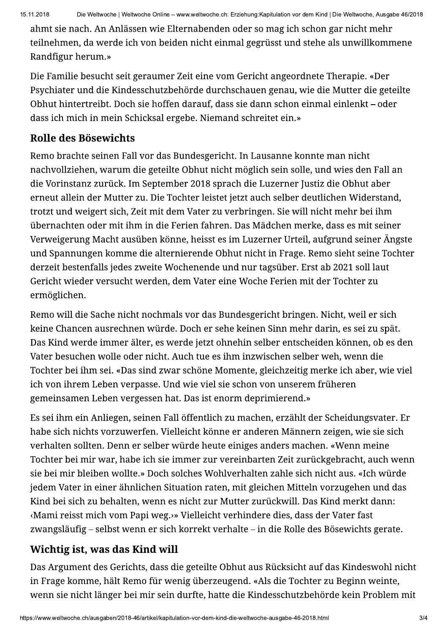15.11.2018

Die Weltwoche | Weltwoche Online - www.weltwoche.ch: Erziehung:Kapitulation vor dem Kind | Die Weltwoche, Ausgabe 46/2018

ahmt sie nach. An Anlässen wie Elternabenden oder so mag ich schon gar nicht mehr teilnehmen, da werde ich von beiden nicht einmal gegrüsst und stehe als unwillkommene Randfigur herum.»

Die Familie besucht seit geraumer Zeit eine vom Gericht angeordnete Therapie. «Der Psychiater und die Kindesschutzbehörde durchschauen genau, wie die Mutter die geteilte Obhut hintertreibt. Doch sie hoffen darauf, dass sie dann schon einmal einlenkt – oder dass ich mich in mein Schicksal ergebe. Niemand schreitet ein.»

### Rolle des Bösewichts

Remo brachte seinen Fall vor das Bundesgericht. In Lausanne konnte man nicht nachvollziehen, warum die geteilte Obhut nicht möglich sein solle, und wies den Fall an die Vorinstanz zurück. Im September 2018 sprach die Luzerner Justiz die Obhut aber erneut allein der Mutter zu. Die Tochter leistet jetzt auch selber deutlichen Widerstand, trotzt und weigert sich, Zeit mit dem Vater zu verbringen. Sie will nicht mehr bei ihm übernachten oder mit ihm in die Ferien fahren. Das Mädchen merke, dass es mit seiner Verweigerung Macht ausüben könne, heisst es im Luzerner Urteil, aufgrund seiner Ängste und Spannungen komme die alternierende Obhut nicht in Frage. Remo sieht seine Tochter derzeit bestenfalls jedes zweite Wochenende und nur tagsüber. Erst ab 2021 soll laut Gericht wieder versucht werden, dem Vater eine Woche Ferien mit der Tochter zu ermöglichen.

Remo will die Sache nicht nochmals vor das Bundesgericht bringen. Nicht, weil er sich keine Chancen ausrechnen würde. Doch er sehe keinen Sinn mehr darin, es sei zu spät. Das Kind werde immer älter, es werde jetzt ohnehin selber entscheiden können, ob es den Vater besuchen wolle oder nicht. Auch tue es ihm inzwischen selber weh, wenn die Tochter bei ihm sei. «Das sind zwar schöne Momente, gleichzeitig merke ich aber, wie viel ich von ihrem Leben verpasse. Und wie viel sie schon von unserem früheren gemeinsamen Leben vergessen hat. Das ist enorm deprimierend.»

Es sei ihm ein Anliegen, seinen Fall öffentlich zu machen, erzählt der Scheidungsvater. Er habe sich nichts vorzuwerfen. Vielleicht könne er anderen Männern zeigen, wie sie sich verhalten sollten. Denn er selber würde heute einiges anders machen. «Wenn meine Tochter bei mir war, habe ich sie immer zur vereinbarten Zeit zurückgebracht, auch wenn sie bei mir bleiben wollte.» Doch solches Wohlverhalten zahle sich nicht aus. «Ich würde jedem Vater in einer ähnlichen Situation raten, mit gleichen Mitteln vorzugehen und das Kind bei sich zu behalten, wenn es nicht zur Mutter zurückwill. Das Kind merkt dann: «Mami reisst mich vom Papi weg.» Vielleicht verhindere dies, dass der Vater fast zwangsläufig – selbst wenn er sich korrekt verhalte – in die Rolle des Bösewichts gerate.

# Wichtig ist, was das Kind will

Das Argument des Gerichts, dass die geteilte Obhut aus Rücksicht auf das Kindeswohl nicht in Frage komme, hält Remo für wenig überzeugend. «Als die Tochter zu Beginn weinte, wenn sie nicht länger bei mir sein durfte, hatte die Kindesschutzbehörde kein Problem mit